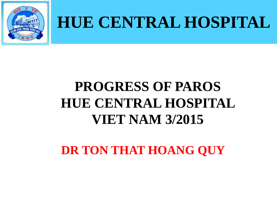

# **HUE CENTRAL HOSPITAL**

#### **PROGRESS OF PAROS HUE CENTRAL HOSPITAL VIET NAM 3/2015**

**DR TON THAT HOANG QUY**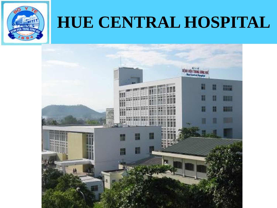

### **HUE CENTRAL HOSPITAL**

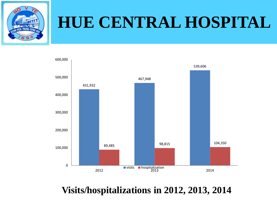

#### **HUE CENTRAL HOSPITAL**



#### **Visits/hospitalizations in 2012, 2013, 2014**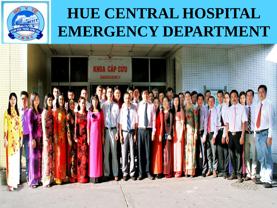

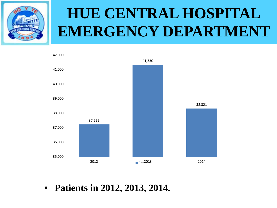



• **Patients in 2012, 2013, 2014.**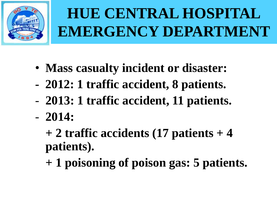

- **Mass casualty incident or disaster:**
- **2012: 1 traffic accident, 8 patients.**
- **2013: 1 traffic accident, 11 patients.**
- **2014:**

**+ 2 traffic accidents (17 patients + 4 patients).**

**+ 1 poisoning of poison gas: 5 patients.**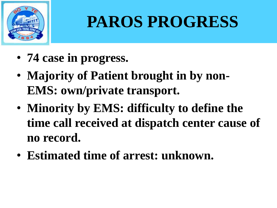

# **PAROS PROGRESS**

- **74 case in progress.**
- **Majority of Patient brought in by non-EMS: own/private transport.**
- **Minority by EMS: difficulty to define the time call received at dispatch center cause of no record.**
- **Estimated time of arrest: unknown.**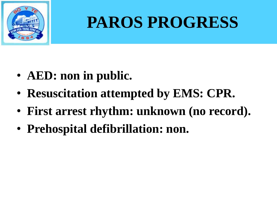

# **PAROS PROGRESS**

- **AED: non in public.**
- **Resuscitation attempted by EMS: CPR.**
- **First arrest rhythm: unknown (no record).**
- **Prehospital defibrillation: non.**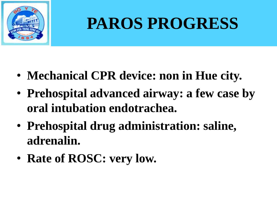

# **PAROS PROGRESS**

- **Mechanical CPR device: non in Hue city.**
- **Prehospital advanced airway: a few case by oral intubation endotrachea.**
- **Prehospital drug administration: saline, adrenalin.**
- **Rate of ROSC: very low.**